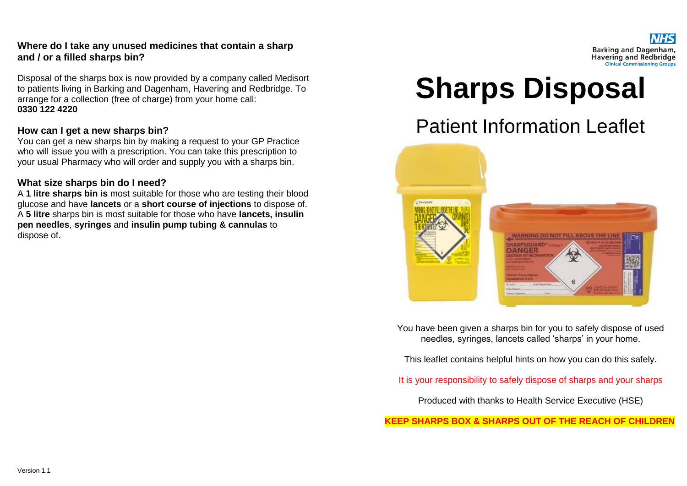#### **Where do I take any unused medicines that contain a sharp and / or a filled sharps bin?**

Disposal of the sharps box is now provided by a company called Medisort to patients living in Barking and Dagenham, Havering and Redbridge. To arrange for a collection (free of charge) from your home call: **0330 122 4220**

#### **How can I get a new sharps bin?**

You can get a new sharps bin by making a request to your GP Practice who will issue you with a prescription. You can take this prescription to your usual Pharmacy who will order and supply you with a sharps bin.

#### **What size sharps bin do I need?**

A **1 litre sharps bin is** most suitable for those who are testing their blood glucose and have **lancets** or a **short course of injections** to dispose of. A **5 litre** sharps bin is most suitable for those who have **lancets, insulin pen needles**, **syringes** and **insulin pump tubing & cannulas** to dispose of.

#### Barking and Dagenham, **Havering and Redbridge Clinical Commissioning Groups**

# **Sharps Disposal**

# Patient Information Leaflet



You have been given a sharps bin for you to safely dispose of used needles, syringes, lancets called 'sharps' in your home.

This leaflet contains helpful hints on how you can do this safely.

It is your responsibility to safely dispose of sharps and your sharps

Produced with thanks to Health Service Executive (HSE)

**KEEP SHARPS BOX & SHARPS OUT OF THE REACH OF CHILDREN**